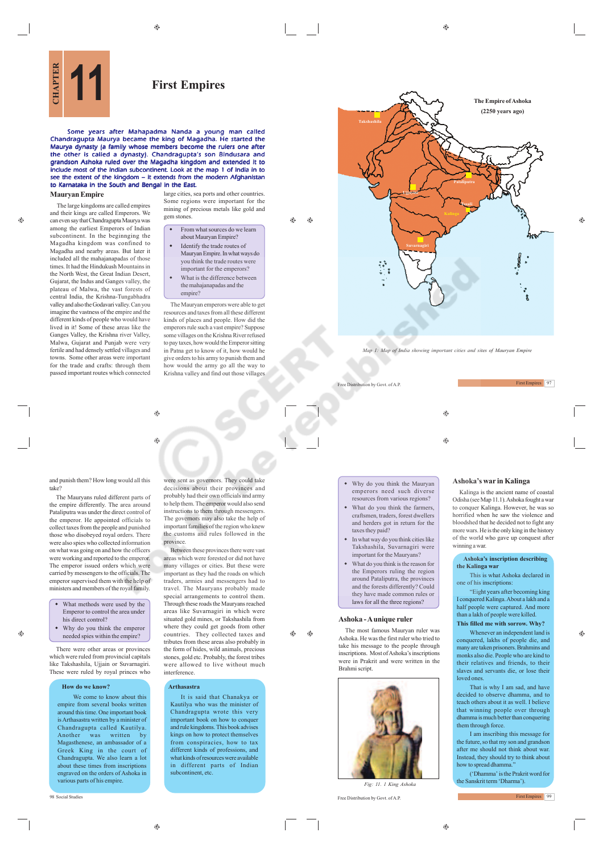$\bigoplus$ 

 $\bigcirc$ 

# **First Empires**

Some years after Mahapadma Nanda a young man called Chandragupta Maurya became the king of Magadha. He started the Maurya dynasty (a family whose members become the rulers one after the other is called a dynasty). Chandragupta's son Bindusara and grandson Ashoka ruled over the Magadha kingdom and extended it to include most of the Indian subcontinent. Look at the map 1 of India in to see the extent of the kingdom – it extends from the modern Afghanistan to Karnataka in the South and Bengal in the East.

 $\bigoplus$ 

۳

## **Mauryan Empire**

 $\triangle$ 

and their kings are called Emperors. We can even say that Chandragupta Maurya was among the earliest Emperors of Indian subcontinent. In the beginnging the Magadha kingdom was confined to Magadha and nearby areas. But later it included all the mahajanapadas of those times. It had the Hindukush Mountains in the North West, the Great Indian Desert, Gujarat, the Indus and Ganges valley, the plateau of Malwa, the vast forests of central India, the Krishna-Tungabhadra valley and also the Godavari valley. Can you imagine the vastness of the empire and the different kinds of people who would have lived in it! Some of these areas like the Ganges Valley, the Krishna river Valley, Malwa, Gujarat and Punjab were very fertile and had densely settled villages and towns. Some other areas were important for the trade and crafts: through them passed important routes which connected

The large kingdoms are called empires

large cities, sea ports and other countries. Some regions were important for the mining of precious metals like gold and gem stones

 From what sources do we learn about Mauryan Empire? Identify the trade routes of

 $\triangle$ 

- Mauryan Empire. In what ways do you think the trade routes were important for the emperors? What is the difference between
- the mahajanapadas and the empire?

The Mauryan emperors were able to get resources and taxes from all these different kinds of places and people. How did the emperors rule such a vast empire? Suppose some villages on the Krishna River refused to pay taxes, how would the Emperor sitting in Patna get to know of it, how would he give orders to his army to punish them and how would the army go all the way to Krishna valley and find out those villages



*Map 1: Map of India showing important cities and sites of Mauryan Empire*

Free Distribution by Govt. of A.P. First Empires 97

 $\triangle$ 

⊕

#### Why do you think the Mauryan emperors need such diverse resources from various regions?

- What do you think the farmers, craftsmen, traders, forest dwellers and herders got in return for the taxes they paid?
- In what way do you think cities like Takshashila, Suvarnagiri were important for the Mauryans?
- What do you think is the reason for the Emperors ruling the region around Pataliputra, the provinces and the forests differently? Could they have made common rules or laws for all the three regions?

The most famous Mauryan ruler was Ashoka. He was the first ruler who tried to take his message to the people through inscriptions. Most of Ashoka's inscriptions were in Prakrit and were written in the Brahmi script.



98 Social Studies Free Distribution by Govt. of A.P.

# **Ashoka's war in Kalinga**

Kalinga is the ancient name of coastal Odisha (see Map 11.1). Ashoka fought a war to conquer Kalinga. However, he was so horrified when he saw the violence and bloodshed that he decided not to fight any more wars. He is the only king in the history of the world who gave up conquest after winning a war.

#### **Ashoka's inscription describing the Kalinga war**

This is what Ashoka declared in one of his inscriptions:

"Eight years after becoming king I conquered Kalinga. About a lakh and a half people were captured. And more than a lakh of people were killed. **This filled me with sorrow. Why?**

Whenever an independent land is conquered, lakhs of people die, and many are taken prisoners. Brahmins and monks also die. People who are kind to their relatives and friends, to their slaves and servants die, or lose their loved ones.

That is why I am sad, and have decided to observe dhamma, and to teach others about it as well. I believe that winning people over through dhamma is much better than conquering them through force.

I am inscribing this message for the future, so that my son and grandson after me should not think about war. Instead, they should try to think about how to spread dhamma

('Dhamma' is the Prakrit word for the Sanskrit term 'Dharma').

First Empires 99

and punish them? How long would all this take?

The Mauryans ruled different parts of the empire differently. The area around Pataliputra was under the direct control of the emperor. He appointed officials to collect taxes from the people and punished those who disobeyed royal orders. There were also spies who collected information on what was going on and how the officers were working and reported to the emperor. The emperor issued orders which were carried by messengers to the officials. The emperor supervised them with the help of ministers and members of the royal family.

 What methods were used by the Emperor to control the area under his direct control?

۵

 Why do you think the emperor needed spies within the empire?

There were other areas or provinces which were ruled from provincial capitals like Takshashila, Ujjain or Suvarnagiri. These were ruled by royal princes who

#### **How do we know?**

We come to know about this empire from several books written around this time. One important book is Arthasastra written by a minister of Chandragupta called Kautilya. Another was written by Magasthenese, an ambassador of a Greek King in the court of Chandragupta. We also learn a lot about these times from inscriptions engraved on the orders of Ashoka in various parts of his empire.

were sent as governors. They could take decisions about their provinces and probably had their own officials and army to help them. The emperor would also send instructions to them through messengers. The governors may also take the help of important families of the region who knew the customs and rules followed in the province. Between these provinces there were vast

areas which were forested or did not have many villages or cities. But these were important as they had the roads on which traders, armies and messengers had to travel. The Mauryans probably made special arrangements to control them. Through these roads the Mauryans reached areas like Suvarnagiri in which were situated gold mines, or Takshashila from where they could get goods from other countries. They collected taxes and tributes from these areas also probably in the form of hides, wild animals, precious stones, gold etc. Probably, the forest tribes were allowed to live without much **interference** 

#### **Arthasastra**

It is said that Chanakya or Kautilya who was the minister of Chandragupta wrote this very important book on how to conquer and rule kingdoms. This book advises kings on how to protect themselves from conspiracies, how to tax different kinds of professions, and what kinds of resources were available in different parts of Indian subcontinent, et

Á  $\bigoplus$ 

**Ashoka - A unique ruler**



 $^{\circ}$ 

♠